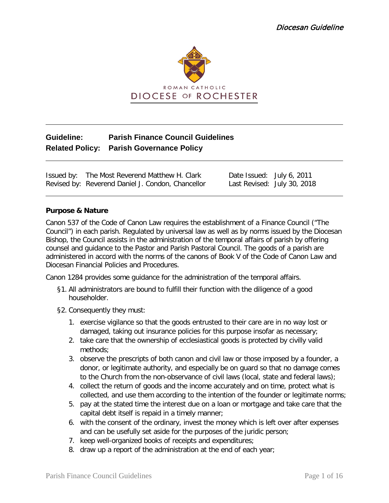

# **Guideline: Parish Finance Council Guidelines Related Policy: Parish Governance Policy**

Issued by: The Most Reverend Matthew H. Clark Date Issued: July 6, 2011<br>Revised by: Reverend Daniel J. Condon, Chancellor Last Revised: July 30, 2018 Revised by: Reverend Daniel J. Condon, Chancellor

#### **Purpose & Nature**

Canon 537 of the Code of Canon Law requires the establishment of a Finance Council ("The Council") in each parish. Regulated by universal law as well as by norms issued by the Diocesan Bishop, the Council assists in the administration of the temporal affairs of parish by offering counsel and guidance to the Pastor and Parish Pastoral Council. The goods of a parish are administered in accord with the norms of the canons of Book V of the Code of Canon Law and Diocesan Financial Policies and Procedures.

Canon 1284 provides some guidance for the administration of the temporal affairs.

- §1. All administrators are bound to fulfill their function with the diligence of a good householder.
- §2. Consequently they must:
	- 1. exercise vigilance so that the goods entrusted to their care are in no way lost or damaged, taking out insurance policies for this purpose insofar as necessary;
	- 2. take care that the ownership of ecclesiastical goods is protected by civilly valid methods;
	- 3. observe the prescripts of both canon and civil law or those imposed by a founder, a donor, or legitimate authority, and especially be on guard so that no damage comes to the Church from the non-observance of civil laws (local, state and federal laws);
	- 4. collect the return of goods and the income accurately and on time, protect what is collected, and use them according to the intention of the founder or legitimate norms;
	- 5. pay at the stated time the interest due on a loan or mortgage and take care that the capital debt itself is repaid in a timely manner;
	- 6. with the consent of the ordinary, invest the money which is left over after expenses and can be usefully set aside for the purposes of the juridic person;
	- 7. keep well-organized books of receipts and expenditures;
	- 8. draw up a report of the administration at the end of each year;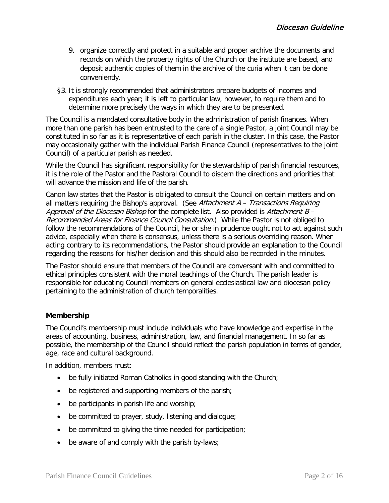- 9. organize correctly and protect in a suitable and proper archive the documents and records on which the property rights of the Church or the institute are based, and deposit authentic copies of them in the archive of the curia when it can be done conveniently.
- §3. It is strongly recommended that administrators prepare budgets of incomes and expenditures each year; it is left to particular law, however, to require them and to determine more precisely the ways in which they are to be presented.

The Council is a mandated consultative body in the administration of parish finances. When more than one parish has been entrusted to the care of a single Pastor, a joint Council may be constituted in so far as it is representative of each parish in the cluster. In this case, the Pastor may occasionally gather with the individual Parish Finance Council (representatives to the joint Council) of a particular parish as needed.

While the Council has significant responsibility for the stewardship of parish financial resources, it is the role of the Pastor and the Pastoral Council to discern the directions and priorities that will advance the mission and life of the parish.

Canon law states that the Pastor is obligated to consult the Council on certain matters and on all matters requiring the Bishop's approval. (See Attachment  $A - Transactions$  Requiring Approval of the Diocesan Bishop for the complete list. Also provided is Attachment  $B -$ Recommended Areas for Finance Council Consultation.) While the Pastor is not obliged to follow the recommendations of the Council, he or she in prudence ought not to act against such advice, especially when there is consensus, unless there is a serious overriding reason. When acting contrary to its recommendations, the Pastor should provide an explanation to the Council regarding the reasons for his/her decision and this should also be recorded in the minutes.

The Pastor should ensure that members of the Council are conversant with and committed to ethical principles consistent with the moral teachings of the Church. The parish leader is responsible for educating Council members on general ecclesiastical law and diocesan policy pertaining to the administration of church temporalities.

#### **Membership**

The Council's membership must include individuals who have knowledge and expertise in the areas of accounting, business, administration, law, and financial management. In so far as possible, the membership of the Council should reflect the parish population in terms of gender, age, race and cultural background.

In addition, members must:

- be fully initiated Roman Catholics in good standing with the Church;
- be registered and supporting members of the parish;
- be participants in parish life and worship;
- be committed to prayer, study, listening and dialogue;
- be committed to giving the time needed for participation;
- be aware of and comply with the parish by-laws;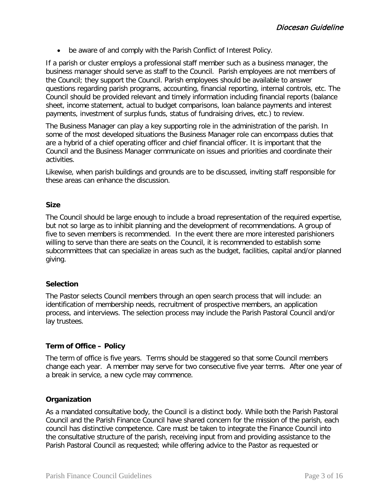• be aware of and comply with the Parish Conflict of Interest Policy.

If a parish or cluster employs a professional staff member such as a business manager, the business manager should serve as staff to the Council. Parish employees are not members of the Council; they support the Council. Parish employees should be available to answer questions regarding parish programs, accounting, financial reporting, internal controls, etc. The Council should be provided relevant and timely information including financial reports (balance sheet, income statement, actual to budget comparisons, loan balance payments and interest payments, investment of surplus funds, status of fundraising drives, etc.) to review.

The Business Manager can play a key supporting role in the administration of the parish. In some of the most developed situations the Business Manager role can encompass duties that are a hybrid of a chief operating officer and chief financial officer. It is important that the Council and the Business Manager communicate on issues and priorities and coordinate their activities.

Likewise, when parish buildings and grounds are to be discussed, inviting staff responsible for these areas can enhance the discussion.

#### **Size**

The Council should be large enough to include a broad representation of the required expertise, but not so large as to inhibit planning and the development of recommendations. A group of five to seven members is recommended. In the event there are more interested parishioners willing to serve than there are seats on the Council, it is recommended to establish some subcommittees that can specialize in areas such as the budget, facilities, capital and/or planned giving.

#### **Selection**

The Pastor selects Council members through an open search process that will include: an identification of membership needs, recruitment of prospective members, an application process, and interviews. The selection process may include the Parish Pastoral Council and/or lay trustees.

#### **Term of Office – Policy**

The term of office is five years. Terms should be staggered so that some Council members change each year. A member may serve for two consecutive five year terms. After one year of a break in service, a new cycle may commence.

#### **Organization**

As a mandated consultative body, the Council is a distinct body. While both the Parish Pastoral Council and the Parish Finance Council have shared concern for the mission of the parish, each council has distinctive competence. Care must be taken to integrate the Finance Council into the consultative structure of the parish, receiving input from and providing assistance to the Parish Pastoral Council as requested; while offering advice to the Pastor as requested or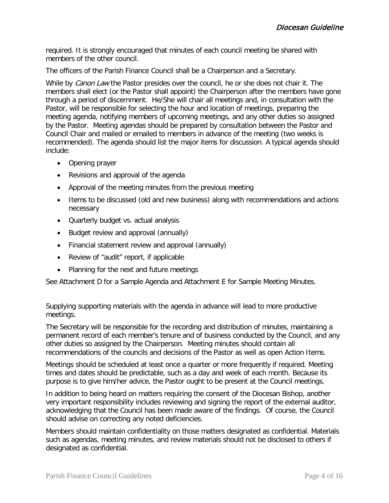required. It is strongly encouraged that minutes of each council meeting be shared with members of the other council.

The officers of the Parish Finance Council shall be a Chairperson and a Secretary.

While by *Canon Law* the Pastor presides over the council, he or she does not chair it. The members shall elect (or the Pastor shall appoint) the Chairperson after the members have gone through a period of discernment. He/She will chair all meetings and, in consultation with the Pastor, will be responsible for selecting the hour and location of meetings, preparing the meeting agenda, notifying members of upcoming meetings, and any other duties so assigned by the Pastor. Meeting agendas should be prepared by consultation between the Pastor and Council Chair and mailed or emailed to members in advance of the meeting (two weeks is recommended). The agenda should list the major items for discussion. A typical agenda should include:

- Opening prayer
- Revisions and approval of the agenda
- Approval of the meeting minutes from the previous meeting
- Items to be discussed (old and new business) along with recommendations and actions necessary
- Quarterly budget vs. actual analysis
- Budget review and approval (annually)
- Financial statement review and approval (annually)
- Review of "audit" report, if applicable
- Planning for the next and future meetings

See Attachment D for a Sample Agenda and Attachment E for Sample Meeting Minutes.

Supplying supporting materials with the agenda in advance will lead to more productive meetings.

The Secretary will be responsible for the recording and distribution of minutes, maintaining a permanent record of each member's tenure and of business conducted by the Council, and any other duties so assigned by the Chairperson. Meeting minutes should contain all recommendations of the councils and decisions of the Pastor as well as open Action Items.

Meetings should be scheduled at least once a quarter or more frequently if required. Meeting times and dates should be predictable, such as a day and week of each month. Because its purpose is to give him/her advice, the Pastor ought to be present at the Council meetings.

In addition to being heard on matters requiring the consent of the Diocesan Bishop, another very important responsibility includes reviewing and signing the report of the external auditor, acknowledging that the Council has been made aware of the findings. Of course, the Council should advise on correcting any noted deficiencies.

Members should maintain confidentiality on those matters designated as confidential. Materials such as agendas, meeting minutes, and review materials should not be disclosed to others if designated as confidential.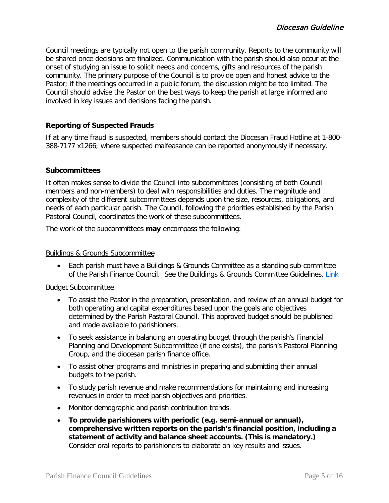Council meetings are typically not open to the parish community. Reports to the community will be shared once decisions are finalized. Communication with the parish should also occur at the onset of studying an issue to solicit needs and concerns, gifts and resources of the parish community. The primary purpose of the Council is to provide open and honest advice to the Pastor; if the meetings occurred in a public forum, the discussion might be too limited. The Council should advise the Pastor on the best ways to keep the parish at large informed and involved in key issues and decisions facing the parish.

### **Reporting of Suspected Frauds**

If at any time fraud is suspected, members should contact the Diocesan Fraud Hotline at 1-800- 388-7177 x1266; where suspected malfeasance can be reported anonymously if necessary.

#### **Subcommittees**

It often makes sense to divide the Council into subcommittees (consisting of both Council members and non-members) to deal with responsibilities and duties. The magnitude and complexity of the different subcommittees depends upon the size, resources, obligations, and needs of each particular parish. The Council, following the priorities established by the Parish Pastoral Council, coordinates the work of these subcommittees.

The work of the subcommittees **may** encompass the following:

#### Buildings & Grounds Subcommittee

• Each parish must have a Buildings & Grounds Committee as a standing sub-committee of the Parish Finance Council. See the Buildings & Grounds Committee Guidelines. [Link](https://dioceseofrochester.sharepoint.com/:w:/r/Policies/Policies/Parish%20Governance%20Policy/Buildings%20%26%20Grounds%20Committee%20Guidelines.docx?d=wab1cf5a8cac0456496abcbc91e384aad&csf=1&e=75Jp63)

#### Budget Subcommittee

- To assist the Pastor in the preparation, presentation, and review of an annual budget for both operating and capital expenditures based upon the goals and objectives determined by the Parish Pastoral Council. This approved budget should be published and made available to parishioners.
- To seek assistance in balancing an operating budget through the parish's Financial Planning and Development Subcommittee (if one exists), the parish's Pastoral Planning Group, and the diocesan parish finance office.
- To assist other programs and ministries in preparing and submitting their annual budgets to the parish.
- To study parish revenue and make recommendations for maintaining and increasing revenues in order to meet parish objectives and priorities.
- Monitor demographic and parish contribution trends.
- **To provide parishioners with periodic (e.g. semi-annual or annual), comprehensive written reports on the parish's financial position, including a statement of activity and balance sheet accounts. (This is mandatory.)** Consider oral reports to parishioners to elaborate on key results and issues.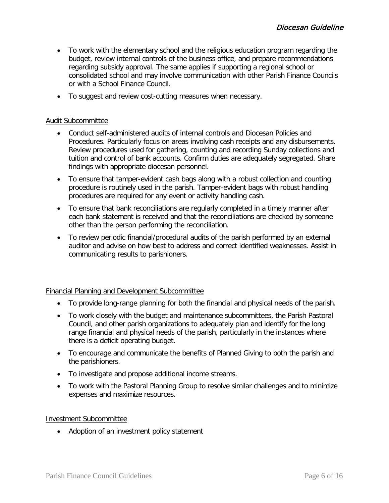- To work with the elementary school and the religious education program regarding the budget, review internal controls of the business office, and prepare recommendations regarding subsidy approval. The same applies if supporting a regional school or consolidated school and may involve communication with other Parish Finance Councils or with a School Finance Council.
- To suggest and review cost-cutting measures when necessary.

#### Audit Subcommittee

- Conduct self-administered audits of internal controls and Diocesan Policies and Procedures. Particularly focus on areas involving cash receipts and any disbursements. Review procedures used for gathering, counting and recording Sunday collections and tuition and control of bank accounts. Confirm duties are adequately segregated. Share findings with appropriate diocesan personnel.
- To ensure that tamper-evident cash bags along with a robust collection and counting procedure is routinely used in the parish. Tamper-evident bags with robust handling procedures are required for any event or activity handling cash.
- To ensure that bank reconciliations are regularly completed in a timely manner after each bank statement is received and that the reconciliations are checked by someone other than the person performing the reconciliation.
- To review periodic financial/procedural audits of the parish performed by an external auditor and advise on how best to address and correct identified weaknesses. Assist in communicating results to parishioners.

#### Financial Planning and Development Subcommittee

- To provide long-range planning for both the financial and physical needs of the parish.
- To work closely with the budget and maintenance subcommittees, the Parish Pastoral Council, and other parish organizations to adequately plan and identify for the long range financial and physical needs of the parish, particularly in the instances where there is a deficit operating budget.
- To encourage and communicate the benefits of Planned Giving to both the parish and the parishioners.
- To investigate and propose additional income streams.
- To work with the Pastoral Planning Group to resolve similar challenges and to minimize expenses and maximize resources.

#### Investment Subcommittee

• Adoption of an investment policy statement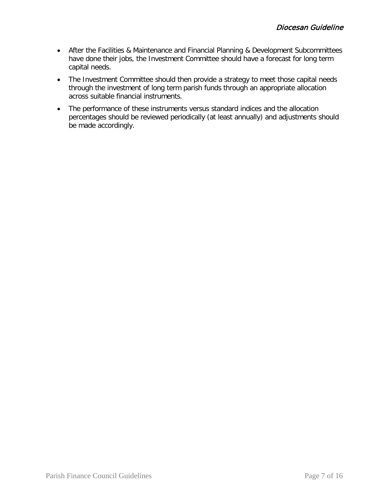- After the Facilities & Maintenance and Financial Planning & Development Subcommittees have done their jobs, the Investment Committee should have a forecast for long term capital needs.
- The Investment Committee should then provide a strategy to meet those capital needs through the investment of long term parish funds through an appropriate allocation across suitable financial instruments.
- The performance of these instruments versus standard indices and the allocation percentages should be reviewed periodically (at least annually) and adjustments should be made accordingly.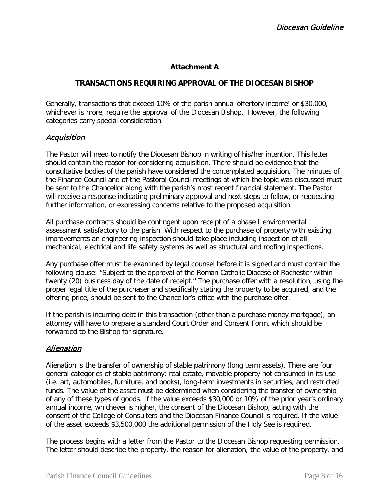### **Attachment A**

#### **TRANSACTIONS REQUIRING APPROVAL OF THE DIOCESAN BISHOP**

Generally, transactions that exceed 10% of the parish annual offertory income<sup>1</sup> or \$30,000, whichever is more, require the approval of the Diocesan Bishop. However, the following categories carry special consideration.

#### Acquisition

The Pastor will need to notify the Diocesan Bishop in writing of his/her intention. This letter should contain the reason for considering acquisition. There should be evidence that the consultative bodies of the parish have considered the contemplated acquisition. The minutes of the Finance Council and of the Pastoral Council meetings at which the topic was discussed must be sent to the Chancellor along with the parish's most recent financial statement. The Pastor will receive a response indicating preliminary approval and next steps to follow, or requesting further information, or expressing concerns relative to the proposed acquisition.

All purchase contracts should be contingent upon receipt of a phase I environmental assessment satisfactory to the parish. With respect to the purchase of property with existing improvements an engineering inspection should take place including inspection of all mechanical, electrical and life safety systems as well as structural and roofing inspections.

Any purchase offer must be examined by legal counsel before it is signed and must contain the following clause: "Subject to the approval of the Roman Catholic Diocese of Rochester within twenty (20) business day of the date of receipt." The purchase offer with a resolution, using the proper legal title of the purchaser and specifically stating the property to be acquired, and the offering price, should be sent to the Chancellor's office with the purchase offer.

If the parish is incurring debt in this transaction (other than a purchase money mortgage), an attorney will have to prepare a standard Court Order and Consent Form, which should be forwarded to the Bishop for signature.

## Alienation

Alienation is the transfer of ownership of stable patrimony (long term assets). There are four general categories of stable patrimony: real estate, movable property not consumed in its use (i.e. art, automobiles, furniture, and books), long-term investments in securities, and restricted funds. The value of the asset must be determined when considering the transfer of ownership of any of these types of goods. If the value exceeds \$30,000 or 10% of the prior year's ordinary annual income, whichever is higher, the consent of the Diocesan Bishop, acting with the consent of the College of Consulters and the Diocesan Finance Council is required. If the value of the asset exceeds \$3,500,000 the additional permission of the Holy See is required.

The process begins with a letter from the Pastor to the Diocesan Bishop requesting permission. The letter should describe the property, the reason for alienation, the value of the property, and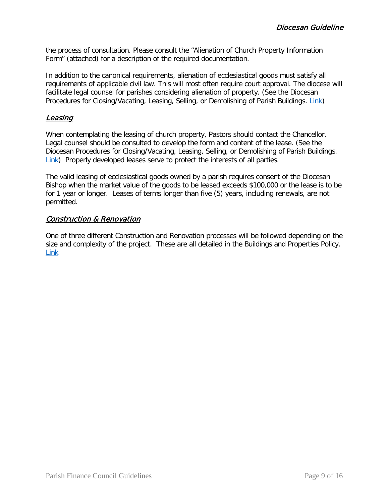the process of consultation. Please consult the "Alienation of Church Property Information Form" (attached) for a description of the required documentation.

In addition to the canonical requirements, alienation of ecclesiastical goods must satisfy all requirements of applicable civil law. This will most often require court approval. The diocese will facilitate legal counsel for parishes considering alienation of property. (See the Diocesan Procedures for Closing/Vacating, Leasing, Selling, or Demolishing of Parish Buildings. [Link\)](https://dioceseofrochester.sharepoint.com/:w:/r/Policies/Policies/Buildings%20%26%20Properties%20Policy/Procedure%20for%20Closing%20Vacating%20Leasing%20Selling%20or%20Demolishing%20of%20Parish%20Buildings.docx?d=w21918d85e4a34f3fb5fd6043453ba31a&csf=1&e=tySi3l)

## Leasing

When contemplating the leasing of church property, Pastors should contact the Chancellor. Legal counsel should be consulted to develop the form and content of the lease. (See the Diocesan Procedures for Closing/Vacating, Leasing, Selling, or Demolishing of Parish Buildings. [Link\)](https://dioceseofrochester.sharepoint.com/:w:/r/Policies/Policies/Buildings%20%26%20Properties%20Policy/Procedure%20for%20Closing%20Vacating%20Leasing%20Selling%20or%20Demolishing%20of%20Parish%20Buildings.docx?d=w21918d85e4a34f3fb5fd6043453ba31a&csf=1&e=tySi3l) Properly developed leases serve to protect the interests of all parties.

The valid leasing of ecclesiastical goods owned by a parish requires consent of the Diocesan Bishop when the market value of the goods to be leased exceeds \$100,000 or the lease is to be for 1 year or longer. Leases of terms longer than five (5) years, including renewals, are not permitted.

## Construction & Renovation

One of three different Construction and Renovation processes will be followed depending on the size and complexity of the project. These are all detailed in the Buildings and Properties Policy. [Link](https://dioceseofrochester.sharepoint.com/:w:/r/Policies/Policies/Buildings%20%26%20Properties%20Policy/Buildings%20and%20Properties%20Policy.docx?d=w6dde3d95806948028fb5c01127e983ee&csf=1&e=4bBsrp)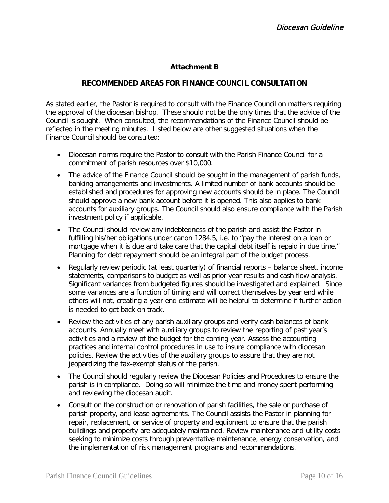### **Attachment B**

#### **RECOMMENDED AREAS FOR FINANCE COUNCIL CONSULTATION**

As stated earlier, the Pastor is required to consult with the Finance Council on matters requiring the approval of the diocesan bishop. These should not be the only times that the advice of the Council is sought. When consulted, the recommendations of the Finance Council should be reflected in the meeting minutes. Listed below are other suggested situations when the Finance Council should be consulted:

- Diocesan norms require the Pastor to consult with the Parish Finance Council for a commitment of parish resources over \$10,000.
- The advice of the Finance Council should be sought in the management of parish funds, banking arrangements and investments. A limited number of bank accounts should be established and procedures for approving new accounts should be in place. The Council should approve a new bank account before it is opened. This also applies to bank accounts for auxiliary groups. The Council should also ensure compliance with the Parish investment policy if applicable.
- The Council should review any indebtedness of the parish and assist the Pastor in fulfilling his/her obligations under canon 1284.5, i.e. to "pay the interest on a loan or mortgage when it is due and take care that the capital debt itself is repaid in due time." Planning for debt repayment should be an integral part of the budget process.
- Regularly review periodic (at least quarterly) of financial reports balance sheet, income statements, comparisons to budget as well as prior year results and cash flow analysis. Significant variances from budgeted figures should be investigated and explained. Since some variances are a function of timing and will correct themselves by year end while others will not, creating a year end estimate will be helpful to determine if further action is needed to get back on track.
- Review the activities of any parish auxiliary groups and verify cash balances of bank accounts. Annually meet with auxiliary groups to review the reporting of past year's activities and a review of the budget for the coming year. Assess the accounting practices and internal control procedures in use to insure compliance with diocesan policies. Review the activities of the auxiliary groups to assure that they are not jeopardizing the tax-exempt status of the parish.
- The Council should regularly review the Diocesan Policies and Procedures to ensure the parish is in compliance. Doing so will minimize the time and money spent performing and reviewing the diocesan audit.
- Consult on the construction or renovation of parish facilities, the sale or purchase of parish property, and lease agreements. The Council assists the Pastor in planning for repair, replacement, or service of property and equipment to ensure that the parish buildings and property are adequately maintained. Review maintenance and utility costs seeking to minimize costs through preventative maintenance, energy conservation, and the implementation of risk management programs and recommendations.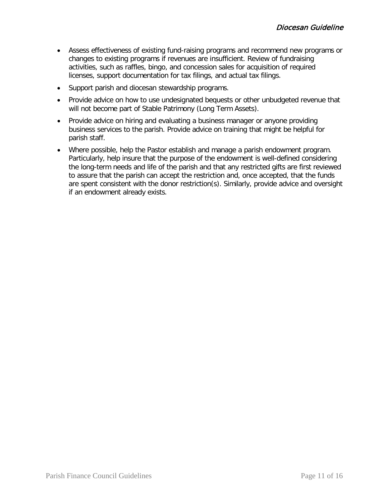- Assess effectiveness of existing fund-raising programs and recommend new programs or changes to existing programs if revenues are insufficient. Review of fundraising activities, such as raffles, bingo, and concession sales for acquisition of required licenses, support documentation for tax filings, and actual tax filings.
- Support parish and diocesan stewardship programs.
- Provide advice on how to use undesignated bequests or other unbudgeted revenue that will not become part of Stable Patrimony (Long Term Assets).
- Provide advice on hiring and evaluating a business manager or anyone providing business services to the parish. Provide advice on training that might be helpful for parish staff.
- Where possible, help the Pastor establish and manage a parish endowment program. Particularly, help insure that the purpose of the endowment is well-defined considering the long-term needs and life of the parish and that any restricted gifts are first reviewed to assure that the parish can accept the restriction and, once accepted, that the funds are spent consistent with the donor restriction(s). Similarly, provide advice and oversight if an endowment already exists.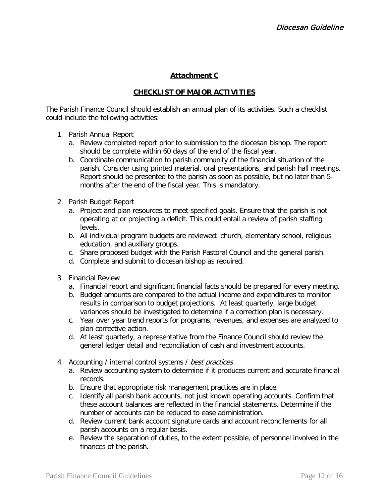## **Attachment C**

## **CHECKLIST OF MAJOR ACTIVITIES**

The Parish Finance Council should establish an annual plan of its activities. Such a checklist could include the following activities:

- 1. Parish Annual Report
	- a. Review completed report prior to submission to the diocesan bishop. The report should be complete within 60 days of the end of the fiscal year.
	- b. Coordinate communication to parish community of the financial situation of the parish. Consider using printed material, oral presentations, and parish hall meetings. Report should be presented to the parish as soon as possible, but no later than 5 months after the end of the fiscal year. This is mandatory.
- 2. Parish Budget Report
	- a. Project and plan resources to meet specified goals. Ensure that the parish is not operating at or projecting a deficit. This could entail a review of parish staffing levels.
	- b. All individual program budgets are reviewed: church, elementary school, religious education, and auxiliary groups.
	- c. Share proposed budget with the Parish Pastoral Council and the general parish.
	- d. Complete and submit to diocesan bishop as required.
- 3. Financial Review
	- a. Financial report and significant financial facts should be prepared for every meeting.
	- b. Budget amounts are compared to the actual income and expenditures to monitor results in comparison to budget projections. At least quarterly, large budget variances should be investigated to determine if a correction plan is necessary.
	- c. Year over year trend reports for programs, revenues, and expenses are analyzed to plan corrective action.
	- d. At least quarterly, a representative from the Finance Council should review the general ledger detail and reconciliation of cash and investment accounts.
- 4. Accounting / internal control systems / best practices
	- a. Review accounting system to determine if it produces current and accurate financial records.
	- b. Ensure that appropriate risk management practices are in place.
	- c. Identify all parish bank accounts, not just known operating accounts. Confirm that these account balances are reflected in the financial statements. Determine if the number of accounts can be reduced to ease administration.
	- d. Review current bank account signature cards and account reconcilements for all parish accounts on a regular basis.
	- e. Review the separation of duties, to the extent possible, of personnel involved in the finances of the parish.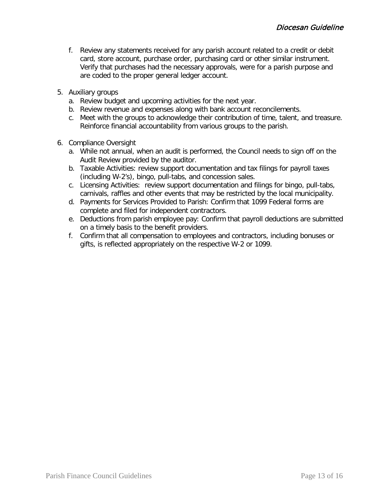- f. Review any statements received for any parish account related to a credit or debit card, store account, purchase order, purchasing card or other similar instrument. Verify that purchases had the necessary approvals, were for a parish purpose and are coded to the proper general ledger account.
- 5. Auxiliary groups
	- a. Review budget and upcoming activities for the next year.
	- b. Review revenue and expenses along with bank account reconcilements.
	- c. Meet with the groups to acknowledge their contribution of time, talent, and treasure. Reinforce financial accountability from various groups to the parish.
- 6. Compliance Oversight
	- a. While not annual, when an audit is performed, the Council needs to sign off on the Audit Review provided by the auditor.
	- b. Taxable Activities: review support documentation and tax filings for payroll taxes (including W-2's), bingo, pull-tabs, and concession sales.
	- c. Licensing Activities: review support documentation and filings for bingo, pull-tabs, carnivals, raffles and other events that may be restricted by the local municipality.
	- d. Payments for Services Provided to Parish: Confirm that 1099 Federal forms are complete and filed for independent contractors.
	- e. Deductions from parish employee pay: Confirm that payroll deductions are submitted on a timely basis to the benefit providers.
	- f. Confirm that all compensation to employees and contractors, including bonuses or gifts, is reflected appropriately on the respective W-2 or 1099.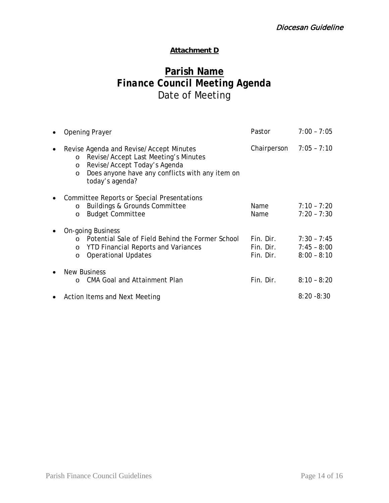## **Attachment D**

# **Parish Name** *Finance Council Meeting Agenda* Date of Meeting

| $\bullet$ | <b>Opening Prayer</b>                                                                                                                                                                                            | Pastor                              | $7:00 - 7:05$                                   |
|-----------|------------------------------------------------------------------------------------------------------------------------------------------------------------------------------------------------------------------|-------------------------------------|-------------------------------------------------|
| $\bullet$ | Revise Agenda and Revise/Accept Minutes<br>Revise/Accept Last Meeting's Minutes<br>$\circ$<br>Revise/Accept Today's Agenda<br>O<br>Does anyone have any conflicts with any item on<br>$\circ$<br>today's agenda? | Chairperson $7:05 - 7:10$           |                                                 |
| ٠         | Committee Reports or Special Presentations<br><b>Buildings &amp; Grounds Committee</b><br>$\circ$<br><b>Budget Committee</b><br>O                                                                                | Name<br>Name                        | $7:10 - 7:20$<br>$7:20 - 7:30$                  |
| $\bullet$ | <b>On-going Business</b><br>Potential Sale of Field Behind the Former School<br>$\Omega$<br><b>YTD Financial Reports and Variances</b><br>$\circ$<br><b>Operational Updates</b><br>$\circ$                       | Fin. Dir.<br>Fin. Dir.<br>Fin. Dir. | $7:30 - 7:45$<br>$7:45 - 8:00$<br>$8:00 - 8:10$ |
| $\bullet$ | <b>New Business</b><br><b>CMA Goal and Attainment Plan</b><br>$\Omega$                                                                                                                                           | Fin. Dir.                           | $8:10 - 8:20$                                   |
| $\bullet$ | Action Items and Next Meeting                                                                                                                                                                                    |                                     | $8:20 - 8:30$                                   |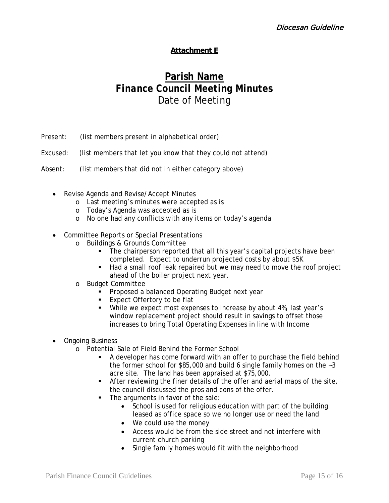## **Attachment E**

# **Parish Name** *Finance Council Meeting Minutes* Date of Meeting

- Present: (list members present in alphabetical order)
- Excused: (list members that let you know that they could not attend)
- Absent: (list members that did not in either category above)
	- Revise Agenda and Revise/Accept Minutes
		- o Last meeting's minutes were accepted as is
		- o Today's Agenda was accepted as is
		- o No one had any conflicts with any items on today's agenda
	- Committee Reports or Special Presentations
		- o Buildings & Grounds Committee
			- The chairperson reported that all this year's capital projects have been completed. Expect to underrun projected costs by about \$5K
			- Had a small roof leak repaired but we may need to move the roof project ahead of the boiler project next year.
		- o Budget Committee
			- **Proposed a balanced Operating Budget next year**
			- **Expect Offertory to be flat**
			- While we expect most expenses to increase by about 4%, last year's window replacement project should result in savings to offset those increases to bring Total Operating Expenses in line with Income
	- Ongoing Business
		- o Potential Sale of Field Behind the Former School
			- A developer has come forward with an offer to purchase the field behind the former school for \$85,000 and build 6 single family homes on the  $-3$ acre site. The land has been appraised at \$75,000.
			- After reviewing the finer details of the offer and aerial maps of the site, the council discussed the pros and cons of the offer.
			- The arguments in favor of the sale:
				- School is used for religious education with part of the building leased as office space so we no longer use or need the land
				- We could use the money
				- Access would be from the side street and not interfere with current church parking
				- Single family homes would fit with the neighborhood